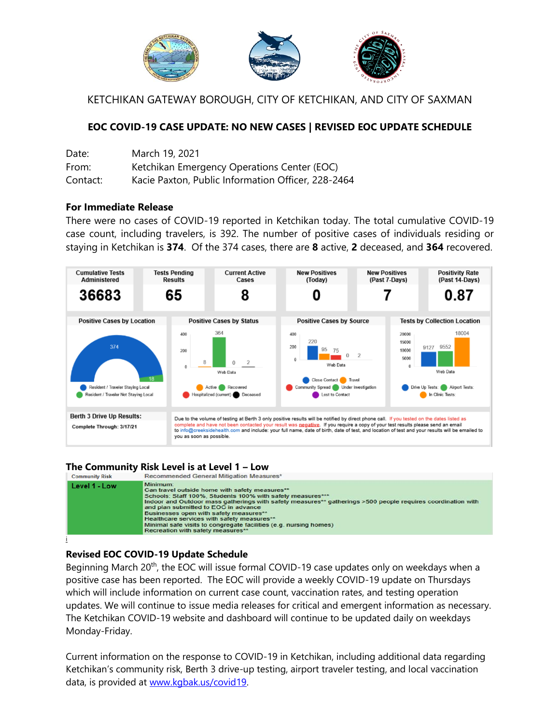

KETCHIKAN GATEWAY BOROUGH, CITY OF KETCHIKAN, AND CITY OF SAXMAN

## **EOC COVID-19 CASE UPDATE: NO NEW CASES | REVISED EOC UPDATE SCHEDULE**

| Date:    | March 19, 2021                                     |
|----------|----------------------------------------------------|
| From:    | Ketchikan Emergency Operations Center (EOC)        |
| Contact: | Kacie Paxton, Public Information Officer, 228-2464 |

#### **For Immediate Release**

There were no cases of COVID-19 reported in Ketchikan today. The total cumulative COVID-19 case count, including travelers, is 392. The number of positive cases of individuals residing or staying in Ketchikan is **374**. Of the 374 cases, there are **8** active, **2** deceased, and **364** recovered.



# **The Community Risk Level is at Level 1 – Low**



### **Revised EOC COVID-19 Update Schedule**

Beginning March 20<sup>th</sup>, the EOC will issue formal COVID-19 case updates only on weekdays when a positive case has been reported. The EOC will provide a weekly COVID-19 update on Thursdays which will include information on current case count, vaccination rates, and testing operation updates. We will continue to issue media releases for critical and emergent information as necessary. The Ketchikan COVID-19 website and dashboard will continue to be updated daily on weekdays Monday-Friday.

Current information on the response to COVID-19 in Ketchikan, including additional data regarding Ketchikan's community risk, Berth 3 drive-up testing, airport traveler testing, and local vaccination data, is provided at [www.kgbak.us/covid19.](http://www.kgbak.us/covid19)